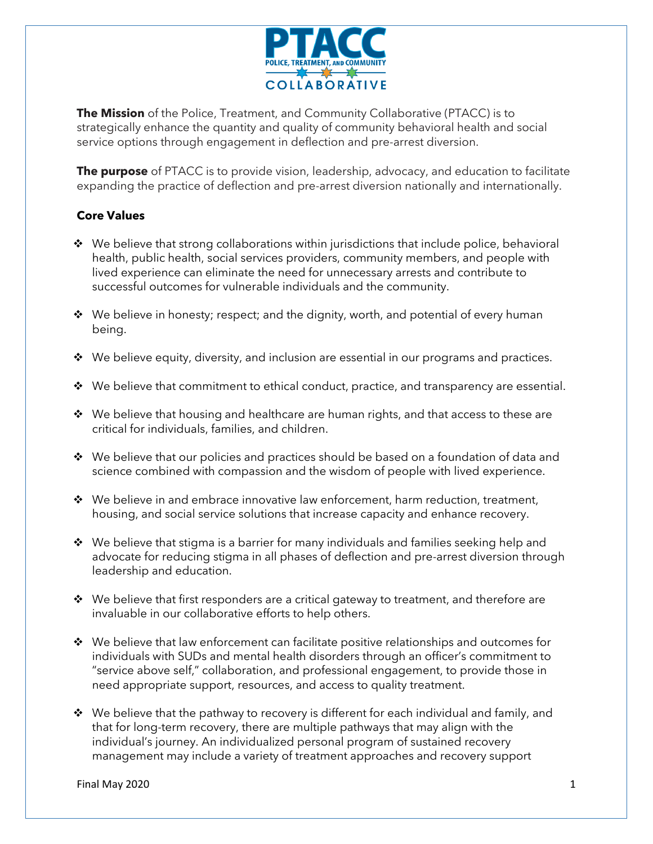

**The Mission** of the Police, Treatment, and Community Collaborative (PTACC) is to strategically enhance the quantity and quality of community behavioral health and social service options through engagement in deflection and pre-arrest diversion.

**The purpose** of PTACC is to provide vision, leadership, advocacy, and education to facilitate expanding the practice of deflection and pre-arrest diversion nationally and internationally.

## **Core Values**

- $\cdot \cdot$  We believe that strong collaborations within jurisdictions that include police, behavioral health, public health, social services providers, community members, and people with lived experience can eliminate the need for unnecessary arrests and contribute to successful outcomes for vulnerable individuals and the community.
- $\cdot \cdot$  We believe in honesty; respect; and the dignity, worth, and potential of every human being.
- $\bullet\;\;$  We believe equity, diversity, and inclusion are essential in our programs and practices.
- ❖ We believe that commitment to ethical conduct, practice, and transparency are essential.
- ❖ We believe that housing and healthcare are human rights, and that access to these are critical for individuals, families, and children.
- ❖ We believe that our policies and practices should be based on a foundation of data and science combined with compassion and the wisdom of people with lived experience.
- ❖ We believe in and embrace innovative law enforcement, harm reduction, treatment, housing, and social service solutions that increase capacity and enhance recovery.
- ◆ We believe that stigma is a barrier for many individuals and families seeking help and advocate for reducing stigma in all phases of deflection and pre-arrest diversion through leadership and education.
- ❖ We believe that first responders are a critical gateway to treatment, and therefore are invaluable in our collaborative efforts to help others.
- ◆ We believe that law enforcement can facilitate positive relationships and outcomes for individuals with SUDs and mental health disorders through an officer's commitment to "service above self," collaboration, and professional engagement, to provide those in need appropriate support, resources, and access to quality treatment.
- ❖ We believe that the pathway to recovery is different for each individual and family, and that for long-term recovery, there are multiple pathways that may align with the individual's journey. An individualized personal program of sustained recovery management may include a variety of treatment approaches and recovery support